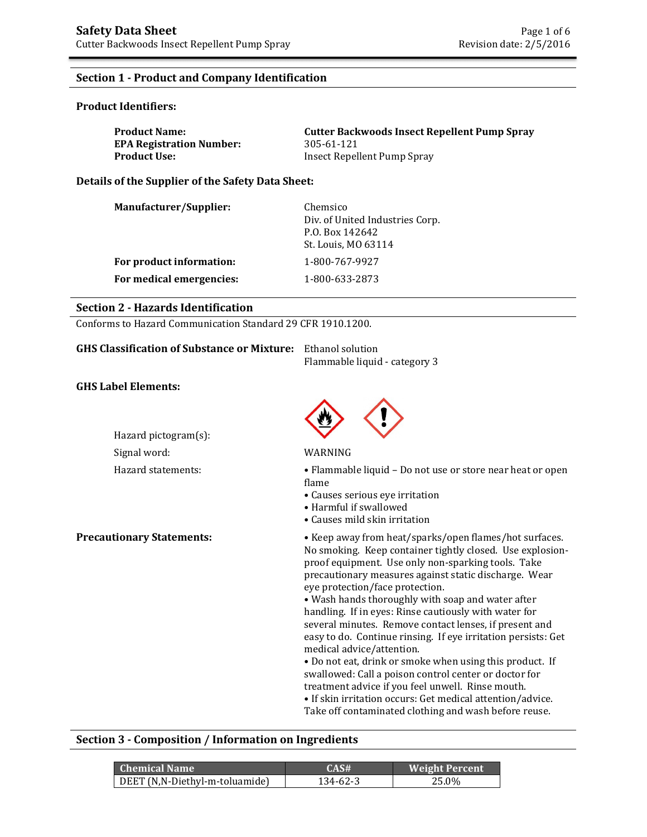# **Section 1 - Product and Company Identification**

### **Product Identifiers:**

| <b>Product Name:</b>            | <b>Cutter Backwoods Insect Repellent Pump Spray</b> |
|---------------------------------|-----------------------------------------------------|
| <b>EPA Registration Number:</b> | 305-61-121                                          |
| <b>Product Use:</b>             | Insect Repellent Pump Spray                         |

**Details of the Supplier of the Safety Data Sheet:** 

| <b>Manufacturer/Supplier:</b><br>Chemsico<br>Div. of United Industries Corp.<br>P.O. Box 142642<br>St. Louis, MO 63114 |  |
|------------------------------------------------------------------------------------------------------------------------|--|
| 1-800-767-9927<br>For product information:                                                                             |  |
| For medical emergencies:<br>1-800-633-2873                                                                             |  |

### **Section 2 - Hazards Identification**

Conforms to Hazard Communication Standard 29 CFR 1910.1200.

| <b>GHS Classification of Substance or Mixture:</b> | Ethanol solution<br>Flammable liquid - category 3 |
|----------------------------------------------------|---------------------------------------------------|
| <b>GHS Label Elements:</b>                         |                                                   |
|                                                    |                                                   |
| Hazard pictogram(s):                               |                                                   |
| Signal word:                                       | WARNING                                           |
|                                                    |                                                   |

Hazard statements: • Flammable liquid – Do not use or store near heat or open flame

- Causes serious eye irritation
- Harmful if swallowed
- Causes mild skin irritation

**Precautionary Statements:** • Keep away from heat/sparks/open flames/hot surfaces. No smoking. Keep container tightly closed. Use explosionproof equipment. Use only non-sparking tools. Take precautionary measures against static discharge. Wear eye protection/face protection.

• Wash hands thoroughly with soap and water after handling. If in eyes: Rinse cautiously with water for several minutes. Remove contact lenses, if present and easy to do. Continue rinsing. If eye irritation persists: Get medical advice/attention.

• Do not eat, drink or smoke when using this product. If swallowed: Call a poison control center or doctor for treatment advice if you feel unwell. Rinse mouth.

• If skin irritation occurs: Get medical attention/advice. Take off contaminated clothing and wash before reuse.

### **Section 3 - Composition / Information on Ingredients**

| <b>Chemical Name</b>           | CAS#     | <b>Weight Percent</b> |
|--------------------------------|----------|-----------------------|
| DEET (N,N-Diethyl-m-toluamide) | 134-62-3 | 25.0%                 |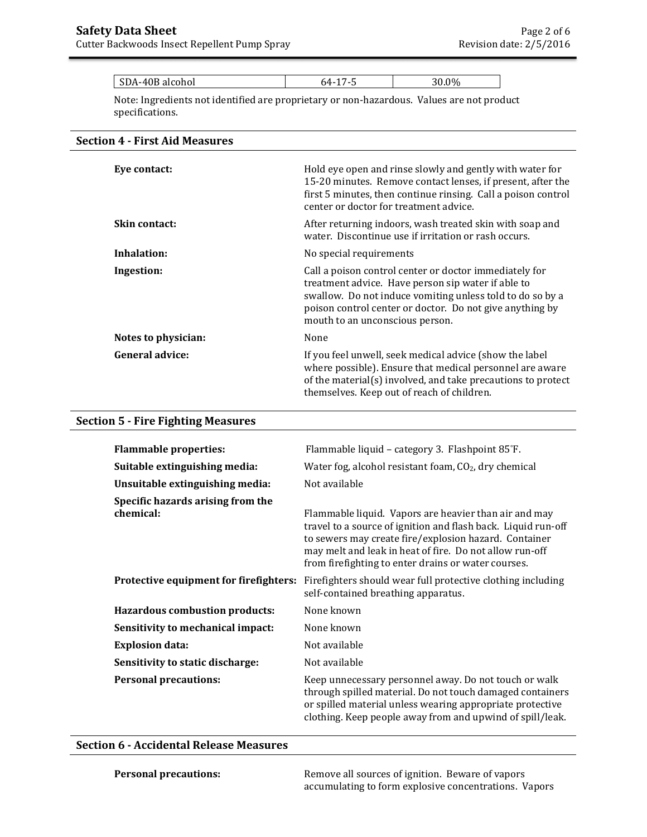|  | $\mathbf{C}$<br>SDA-40<br>-40B alcohol<br>ັບມີ |  | $00\ell$<br>70<br>v.v |
|--|------------------------------------------------|--|-----------------------|
|--|------------------------------------------------|--|-----------------------|

Note: Ingredients not identified are proprietary or non-hazardous. Values are not product specifications.

### **Section 4 - First Aid Measures**

| Eye contact:           | Hold eye open and rinse slowly and gently with water for<br>15-20 minutes. Remove contact lenses, if present, after the<br>first 5 minutes, then continue rinsing. Call a poison control<br>center or doctor for treatment advice.                                       |
|------------------------|--------------------------------------------------------------------------------------------------------------------------------------------------------------------------------------------------------------------------------------------------------------------------|
| Skin contact:          | After returning indoors, wash treated skin with soap and<br>water. Discontinue use if irritation or rash occurs.                                                                                                                                                         |
| Inhalation:            | No special requirements                                                                                                                                                                                                                                                  |
| Ingestion:             | Call a poison control center or doctor immediately for<br>treatment advice. Have person sip water if able to<br>swallow. Do not induce vomiting unless told to do so by a<br>poison control center or doctor. Do not give anything by<br>mouth to an unconscious person. |
| Notes to physician:    | None                                                                                                                                                                                                                                                                     |
| <b>General advice:</b> | If you feel unwell, seek medical advice (show the label<br>where possible). Ensure that medical personnel are aware<br>of the material(s) involved, and take precautions to protect<br>themselves. Keep out of reach of children.                                        |

### **Section 5 - Fire Fighting Measures**

| <b>Flammable properties:</b>                   | Flammable liquid - category 3. Flashpoint 85°F.                                                                                                                                                                                                                                                   |
|------------------------------------------------|---------------------------------------------------------------------------------------------------------------------------------------------------------------------------------------------------------------------------------------------------------------------------------------------------|
| Suitable extinguishing media:                  | Water fog, alcohol resistant foam, $CO2$ , dry chemical                                                                                                                                                                                                                                           |
| Unsuitable extinguishing media:                | Not available                                                                                                                                                                                                                                                                                     |
| Specific hazards arising from the<br>chemical: | Flammable liquid. Vapors are heavier than air and may<br>travel to a source of ignition and flash back. Liquid run-off<br>to sewers may create fire/explosion hazard. Container<br>may melt and leak in heat of fire. Do not allow run-off<br>from firefighting to enter drains or water courses. |
| Protective equipment for firefighters:         | Firefighters should wear full protective clothing including<br>self-contained breathing apparatus.                                                                                                                                                                                                |
| <b>Hazardous combustion products:</b>          | None known                                                                                                                                                                                                                                                                                        |
| Sensitivity to mechanical impact:              | None known                                                                                                                                                                                                                                                                                        |
| <b>Explosion data:</b>                         | Not available                                                                                                                                                                                                                                                                                     |
| Sensitivity to static discharge:               | Not available                                                                                                                                                                                                                                                                                     |
| <b>Personal precautions:</b>                   | Keep unnecessary personnel away. Do not touch or walk<br>through spilled material. Do not touch damaged containers<br>or spilled material unless wearing appropriate protective<br>clothing. Keep people away from and upwind of spill/leak.                                                      |

# **Section 6 - Accidental Release Measures**

**Personal precautions: Remove all sources of ignition. Beware of vapors** accumulating to form explosive concentrations. Vapors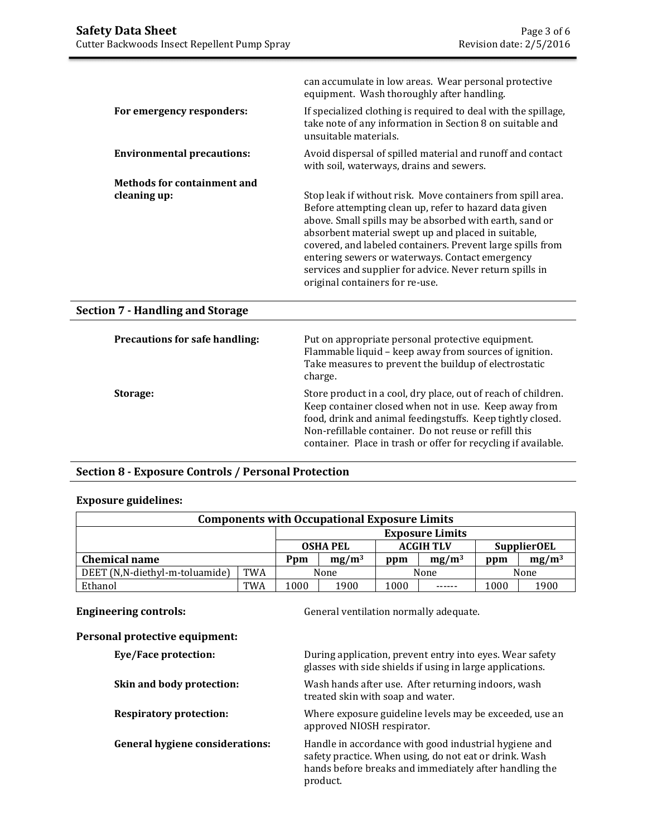|                                    | can accumulate in low areas. Wear personal protective<br>equipment. Wash thoroughly after handling.                                                                                                                                                                                                                                                                                                                                                     |
|------------------------------------|---------------------------------------------------------------------------------------------------------------------------------------------------------------------------------------------------------------------------------------------------------------------------------------------------------------------------------------------------------------------------------------------------------------------------------------------------------|
| For emergency responders:          | If specialized clothing is required to deal with the spillage,<br>take note of any information in Section 8 on suitable and<br>unsuitable materials.                                                                                                                                                                                                                                                                                                    |
| <b>Environmental precautions:</b>  | Avoid dispersal of spilled material and runoff and contact<br>with soil, waterways, drains and sewers.                                                                                                                                                                                                                                                                                                                                                  |
| <b>Methods for containment and</b> |                                                                                                                                                                                                                                                                                                                                                                                                                                                         |
| cleaning up:                       | Stop leak if without risk. Move containers from spill area.<br>Before attempting clean up, refer to hazard data given<br>above. Small spills may be absorbed with earth, sand or<br>absorbent material swept up and placed in suitable,<br>covered, and labeled containers. Prevent large spills from<br>entering sewers or waterways. Contact emergency<br>services and supplier for advice. Never return spills in<br>original containers for re-use. |

# **Section 7 - Handling and Storage**

| <b>Precautions for safe handling:</b> | Put on appropriate personal protective equipment.<br>Flammable liquid - keep away from sources of ignition.<br>Take measures to prevent the buildup of electrostatic<br>charge.                                                                                                                                 |
|---------------------------------------|-----------------------------------------------------------------------------------------------------------------------------------------------------------------------------------------------------------------------------------------------------------------------------------------------------------------|
| Storage:                              | Store product in a cool, dry place, out of reach of children.<br>Keep container closed when not in use. Keep away from<br>food, drink and animal feedingstuffs. Keep tightly closed.<br>Non-refillable container. Do not reuse or refill this<br>container. Place in trash or offer for recycling if available. |

# **Section 8 - Exposure Controls / Personal Protection**

# **Exposure guidelines:**

| <b>Components with Occupational Exposure Limits</b> |            |                        |                 |      |                  |      |                    |
|-----------------------------------------------------|------------|------------------------|-----------------|------|------------------|------|--------------------|
|                                                     |            | <b>Exposure Limits</b> |                 |      |                  |      |                    |
|                                                     |            |                        | <b>OSHA PEL</b> |      | <b>ACGIH TLV</b> |      | <b>SupplierOEL</b> |
| <b>Chemical name</b>                                |            | Ppm                    | $mg/m^3$        | ppm  | $mg/m^3$         | ppm  | $mg/m^3$           |
| DEET (N,N-diethyl-m-toluamide)                      | <b>TWA</b> |                        | None            |      | None             |      | None               |
| Ethanol                                             | <b>TWA</b> | 1000                   | 1900            | 1000 |                  | 1000 | 1900               |

**Engineering controls: Controls: Controls: General ventilation normally adequate.** 

| Personal protective equipment:         |                                                                                                                                                                                       |
|----------------------------------------|---------------------------------------------------------------------------------------------------------------------------------------------------------------------------------------|
| Eye/Face protection:                   | During application, prevent entry into eyes. Wear safety<br>glasses with side shields if using in large applications.                                                                 |
| Skin and body protection:              | Wash hands after use. After returning indoors, wash<br>treated skin with soap and water.                                                                                              |
| <b>Respiratory protection:</b>         | Where exposure guideline levels may be exceeded, use an<br>approved NIOSH respirator.                                                                                                 |
| <b>General hygiene considerations:</b> | Handle in accordance with good industrial hygiene and<br>safety practice. When using, do not eat or drink. Wash<br>hands before breaks and immediately after handling the<br>product. |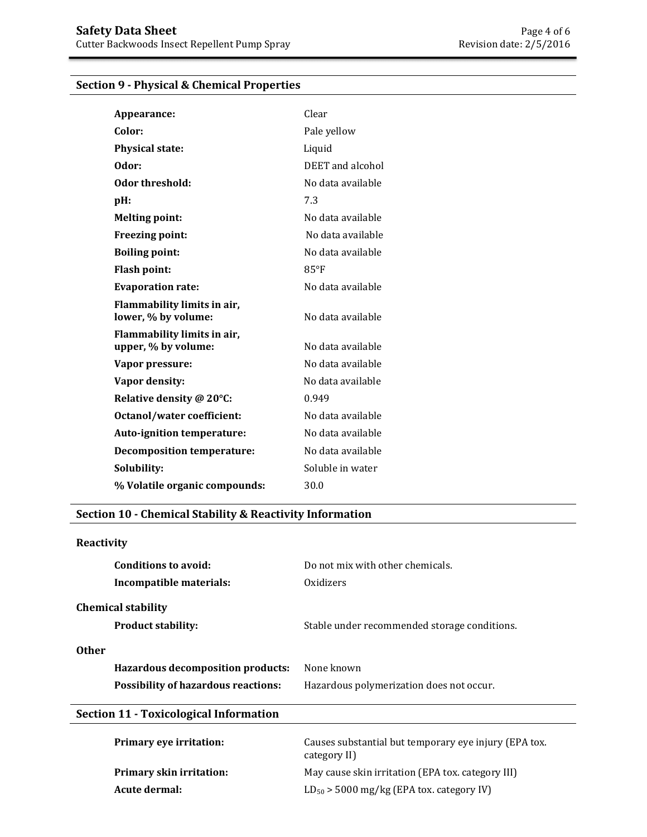# **Section 9 - Physical & Chemical Properties**

| Appearance:                                        | Clear             |
|----------------------------------------------------|-------------------|
| Color:                                             | Pale yellow       |
| <b>Physical state:</b>                             | Liquid            |
| Odor:                                              | DEET and alcohol  |
| Odor threshold:                                    | No data available |
| $pH$ :                                             | 7.3               |
| <b>Melting point:</b>                              | No data available |
| <b>Freezing point:</b>                             | No data available |
| <b>Boiling point:</b>                              | No data available |
| <b>Flash point:</b>                                | $85^{\circ}$ F    |
| <b>Evaporation rate:</b>                           | No data available |
| Flammability limits in air,<br>lower, % by volume: | No data available |
| Flammability limits in air,<br>upper, % by volume: | No data available |
| Vapor pressure:                                    | No data available |
| Vapor density:                                     | No data available |
| Relative density @ 20°C:                           | 0.949             |
| <b>Octanol/water coefficient:</b>                  | No data available |
| Auto-ignition temperature:                         | No data available |
| <b>Decomposition temperature:</b>                  | No data available |
| Solubility:                                        | Soluble in water  |
| % Volatile organic compounds:                      | 30.0              |

## **Section 10 - Chemical Stability & Reactivity Information**

| Reactivity                                    |                                                                       |  |
|-----------------------------------------------|-----------------------------------------------------------------------|--|
| Conditions to avoid:                          | Do not mix with other chemicals.                                      |  |
| Incompatible materials:                       | Oxidizers                                                             |  |
| <b>Chemical stability</b>                     |                                                                       |  |
| <b>Product stability:</b>                     | Stable under recommended storage conditions.                          |  |
| <b>Other</b>                                  |                                                                       |  |
| <b>Hazardous decomposition products:</b>      | None known                                                            |  |
| <b>Possibility of hazardous reactions:</b>    | Hazardous polymerization does not occur.                              |  |
| <b>Section 11 - Toxicological Information</b> |                                                                       |  |
| <b>Primary eye irritation:</b>                | Causes substantial but temporary eye injury (EPA tox.<br>category II) |  |

**Primary skin irritation:** May cause skin irritation (EPA tox. category III)

**Acute dermal:**  $LD_{50} > 5000$  mg/kg (EPA tox. category IV)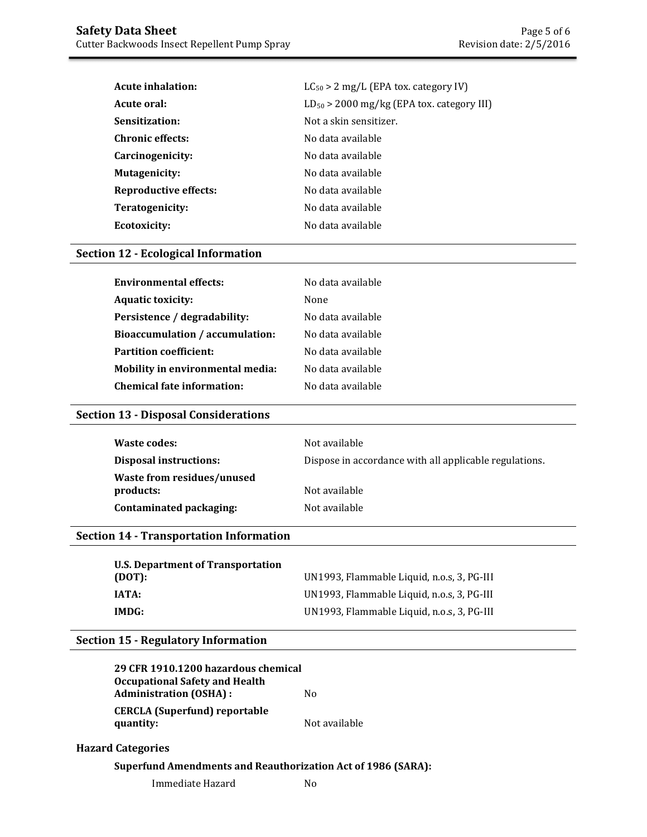| <b>Acute inhalation:</b> | $LC_{50}$ > 2 mg/L (EPA tox. category IV)      |  |
|--------------------------|------------------------------------------------|--|
| Acute oral:              | $LD_{50}$ > 2000 mg/kg (EPA tox. category III) |  |
| Sensitization:           | Not a skin sensitizer.                         |  |
| <b>Chronic effects:</b>  | No data available                              |  |
| Carcinogenicity:         | No data available                              |  |
| <b>Mutagenicity:</b>     | No data available                              |  |
| Reproductive effects:    | No data available                              |  |
| Teratogenicity:          | No data available                              |  |
| Ecotoxicity:             | No data available                              |  |

# **Section 12 - Ecological Information**

| <b>Environmental effects:</b>           | No data available |
|-----------------------------------------|-------------------|
| <b>Aquatic toxicity:</b>                | None              |
| Persistence / degradability:            | No data available |
| Bioaccumulation / accumulation:         | No data available |
| <b>Partition coefficient:</b>           | No data available |
| <b>Mobility in environmental media:</b> | No data available |
| Chemical fate information:              | No data available |

# **Section 13 - Disposal Considerations**

| Waste codes:                            | Not available                                          |
|-----------------------------------------|--------------------------------------------------------|
| Disposal instructions:                  | Dispose in accordance with all applicable regulations. |
| Waste from residues/unused<br>products: | Not available                                          |
| Contaminated packaging:                 | Not available                                          |

# **Section 14 - Transportation Information**

| U.S. Department of Transportation |                                            |
|-----------------------------------|--------------------------------------------|
| (DOT):                            | UN1993, Flammable Liquid, n.o.s. 3, PG-III |
| IATA:                             | UN1993, Flammable Liquid, n.o.s, 3, PG-III |
| IMDG:                             | UN1993, Flammable Liquid, n.o.s, 3, PG-III |

# **Section 15 - Regulatory Information**

| 29 CFR 1910.1200 hazardous chemical                                    |               |
|------------------------------------------------------------------------|---------------|
| <b>Occupational Safety and Health</b><br><b>Administration (OSHA):</b> | No.           |
| <b>CERCLA</b> (Superfund) reportable                                   |               |
| quantity:                                                              | Not available |

# **Hazard Categories**

## **Superfund Amendments and Reauthorization Act of 1986 (SARA):**

Immediate Hazard No